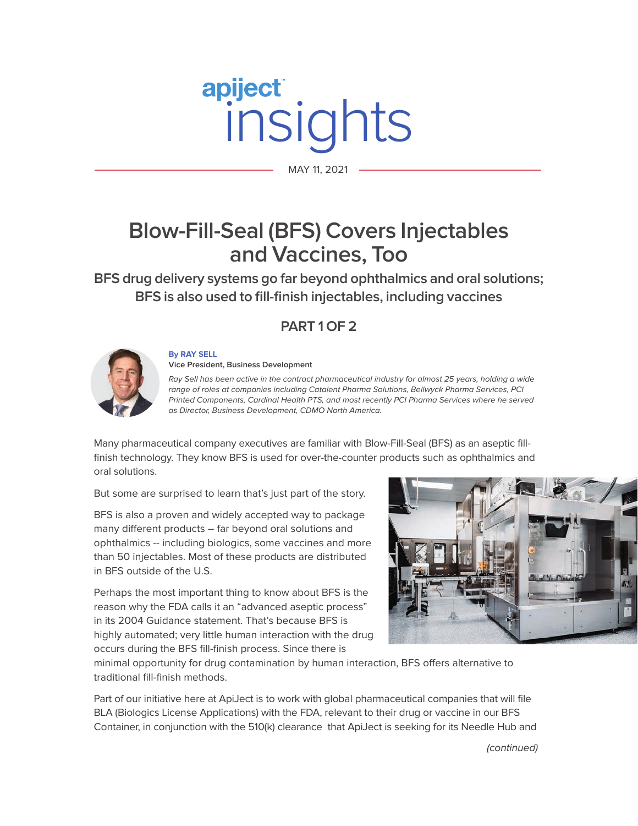# MAY 11, 2021

MAY 11, 2021

# **Blow-Fill-Seal (BFS) Covers Injectables and Vaccines, Too**

**BFS drug delivery systems go far beyond ophthalmics and oral solutions; BFS is also used to fill-finish injectables, including vaccines**

### **PART 1 OF 2**



**By RAY SELL Vice President, Business Development** 

Ray Sell has been active in the contract pharmaceutical industry for almost 25 years, holding a wide range of roles at companies including Catalent Pharma Solutions, Bellwyck Pharma Services, PCI Printed Components, Cardinal Health PTS, and most recently PCI Pharma Services where he served as Director, Business Development, CDMO North America.

Many pharmaceutical company executives are familiar with Blow-Fill-Seal (BFS) as an aseptic fillfinish technology. They know BFS is used for over-the-counter products such as ophthalmics and oral solutions.

But some are surprised to learn that's just part of the story.

BFS is also a proven and widely accepted way to package many different products – far beyond oral solutions and ophthalmics -- including biologics, some vaccines and more than 50 injectables. Most of these products are distributed in BFS outside of the U.S.

Perhaps the most important thing to know about BFS is the reason why the FDA calls it an "advanced aseptic process" in its 2004 Guidance statement. That's because BFS is highly automated; very little human interaction with the drug occurs during the BFS fill-finish process. Since there is



minimal opportunity for drug contamination by human interaction, BFS offers alternative to traditional fill-finish methods.

Part of our initiative here at ApiJect is to work with global pharmaceutical companies that will file BLA (Biologics License Applications) with the FDA, relevant to their drug or vaccine in our BFS Container, in conjunction with the 510(k) clearance that ApiJect is seeking for its Needle Hub and

(continued)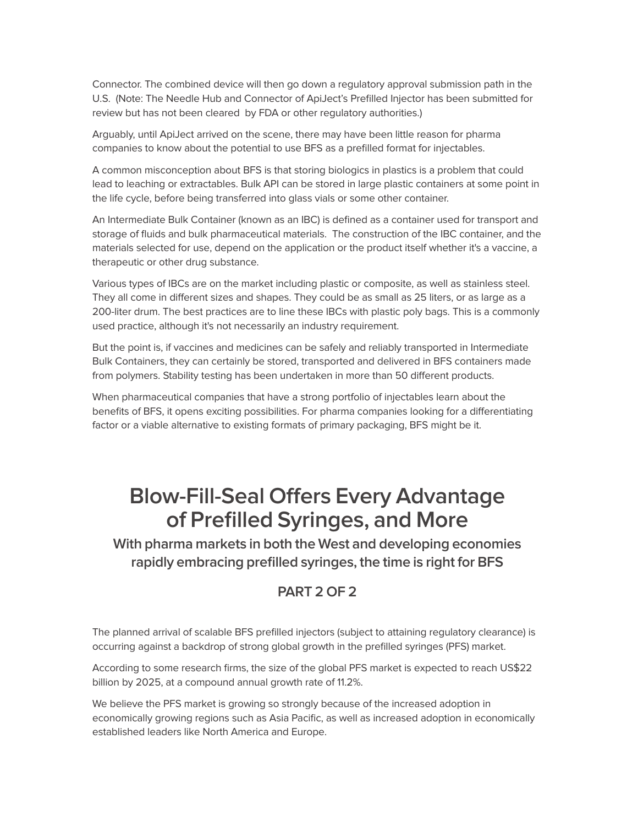Connector. The combined device will then go down a regulatory approval submission path in the U.S. (Note: The Needle Hub and Connector of ApiJect's Prefilled Injector has been submitted for review but has not been cleared by FDA or other regulatory authorities.)

Arguably, until ApiJect arrived on the scene, there may have been little reason for pharma companies to know about the potential to use BFS as a prefilled format for injectables.

A common misconception about BFS is that storing biologics in plastics is a problem that could lead to leaching or extractables. Bulk API can be stored in large plastic containers at some point in the life cycle, before being transferred into glass vials or some other container.

An Intermediate Bulk Container (known as an IBC) is defined as a container used for transport and storage of fluids and bulk pharmaceutical materials. The construction of the IBC container, and the materials selected for use, depend on the application or the product itself whether it's a vaccine, a therapeutic or other drug substance.

Various types of IBCs are on the market including plastic or composite, as well as stainless steel. They all come in different sizes and shapes. They could be as small as 25 liters, or as large as a 200-liter drum. The best practices are to line these IBCs with plastic poly bags. This is a commonly used practice, although it's not necessarily an industry requirement.

But the point is, if vaccines and medicines can be safely and reliably transported in Intermediate Bulk Containers, they can certainly be stored, transported and delivered in BFS containers made from polymers. Stability testing has been undertaken in more than 50 different products.

When pharmaceutical companies that have a strong portfolio of injectables learn about the benefits of BFS, it opens exciting possibilities. For pharma companies looking for a differentiating factor or a viable alternative to existing formats of primary packaging, BFS might be it.

## **Blow-Fill-Seal Offers Every Advantage of Prefilled Syringes, and More**

**With pharma markets in both the West and developing economies rapidly embracing prefilled syringes, the time is right for BFS** 

### **PART 2 OF 2**

The planned arrival of scalable BFS prefilled injectors (subject to attaining regulatory clearance) is occurring against a backdrop of strong global growth in the prefilled syringes (PFS) market.

According to some research firms, the size of the global PFS market is expected to reach US\$22 billion by 2025, at a compound annual growth rate of 11.2%.

We believe the PFS market is growing so strongly because of the increased adoption in economically growing regions such as Asia Pacific, as well as increased adoption in economically established leaders like North America and Europe.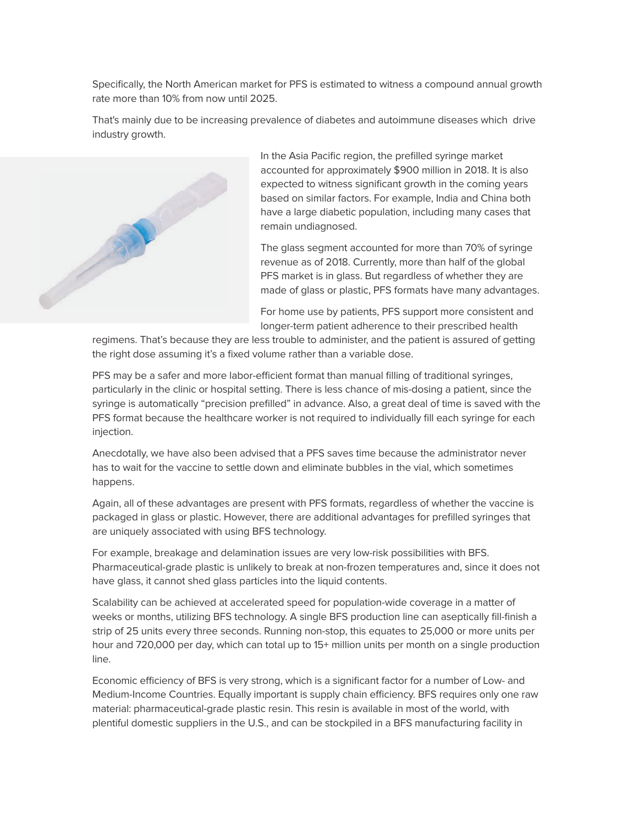Specifically, the North American market for PFS is estimated to witness a compound annual growth rate more than 10% from now until 2025.

That's mainly due to be increasing prevalence of diabetes and autoimmune diseases which drive industry growth.



In the Asia Pacific region, the prefilled syringe market accounted for approximately \$900 million in 2018. It is also expected to witness significant growth in the coming years based on similar factors. For example, India and China both have a large diabetic population, including many cases that remain undiagnosed.

The glass segment accounted for more than 70% of syringe revenue as of 2018. Currently, more than half of the global PFS market is in glass. But regardless of whether they are made of glass or plastic, PFS formats have many advantages.

For home use by patients, PFS support more consistent and longer-term patient adherence to their prescribed health

regimens. That's because they are less trouble to administer, and the patient is assured of getting the right dose assuming it's a fixed volume rather than a variable dose.

PFS may be a safer and more labor-efficient format than manual filling of traditional syringes, particularly in the clinic or hospital setting. There is less chance of mis-dosing a patient, since the syringe is automatically "precision prefilled" in advance. Also, a great deal of time is saved with the PFS format because the healthcare worker is not required to individually fill each syringe for each injection.

Anecdotally, we have also been advised that a PFS saves time because the administrator never has to wait for the vaccine to settle down and eliminate bubbles in the vial, which sometimes happens.

Again, all of these advantages are present with PFS formats, regardless of whether the vaccine is packaged in glass or plastic. However, there are additional advantages for prefilled syringes that are uniquely associated with using BFS technology.

For example, breakage and delamination issues are very low-risk possibilities with BFS. Pharmaceutical-grade plastic is unlikely to break at non-frozen temperatures and, since it does not have glass, it cannot shed glass particles into the liquid contents.

Scalability can be achieved at accelerated speed for population-wide coverage in a matter of weeks or months, utilizing BFS technology. A single BFS production line can aseptically fill-finish a strip of 25 units every three seconds. Running non-stop, this equates to 25,000 or more units per hour and 720,000 per day, which can total up to 15+ million units per month on a single production line.

Economic efficiency of BFS is very strong, which is a significant factor for a number of Low- and Medium-Income Countries. Equally important is supply chain efficiency. BFS requires only one raw material: pharmaceutical-grade plastic resin. This resin is available in most of the world, with plentiful domestic suppliers in the U.S., and can be stockpiled in a BFS manufacturing facility in